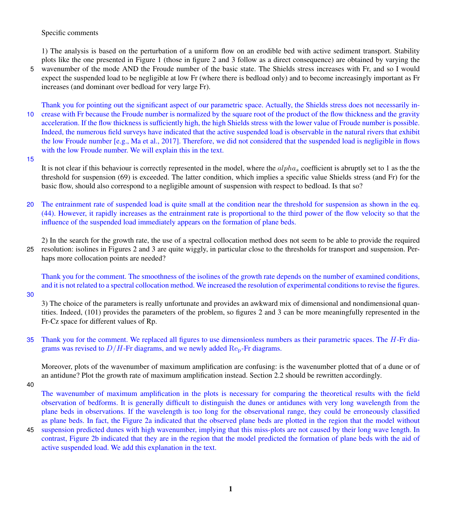Specific comments

1) The analysis is based on the perturbation of a uniform flow on an erodible bed with active sediment transport. Stability plots like the one presented in Figure 1 (those in figure 2 and 3 follow as a direct consequence) are obtained by varying the 5 wavenumber of the mode AND the Froude number of the basic state. The Shields stress increases with Fr, and so I would expect the suspended load to be negligible at low Fr (where there is bedload only) and to become increasingly important as Fr increases (and dominant over bedload for very large Fr).

Thank you for pointing out the significant aspect of our parametric space. Actually, the Shields stress does not necessarily in-10 crease with Fr because the Froude number is normalized by the square root of the product of the flow thickness and the gravity acceleration. If the flow thickness is sufficiently high, the high Shields stress with the lower value of Froude number is possible. Indeed, the numerous field surveys have indicated that the active suspended load is observable in the natural rivers that exhibit the low Froude number [e.g., Ma et al., 2017]. Therefore, we did not considered that the suspended load is negligible in flows with the low Froude number. We will explain this in the text.

15

It is not clear if this behaviour is correctly represented in the model, where the  $alpha$  coefficient is abruptly set to 1 as the the threshold for suspension (69) is exceeded. The latter condition, which implies a specific value Shields stress (and Fr) for the basic flow, should also correspond to a negligible amount of suspension with respect to bedload. Is that so?

20 The entrainment rate of suspended load is quite small at the condition near the threshold for suspension as shown in the eq. (44). However, it rapidly increases as the entrainment rate is proportional to the third power of the flow velocity so that the influence of the suspended load immediately appears on the formation of plane beds.

2) In the search for the growth rate, the use of a spectral collocation method does not seem to be able to provide the required

25 resolution: isolines in Figures 2 and 3 are quite wiggly, in particular close to the thresholds for transport and suspension. Perhaps more collocation points are needed?

Thank you for the comment. The smoothness of the isolines of the growth rate depends on the number of examined conditions, and it is not related to a spectral collocation method. We increased the resolution of experimental conditions to revise the figures.

30

3) The choice of the parameters is really unfortunate and provides an awkward mix of dimensional and nondimensional quantities. Indeed, (101) provides the parameters of the problem, so figures 2 and 3 can be more meaningfully represented in the Fr-Cz space for different values of Rp.

35 Thank you for the comment. We replaced all figures to use dimensionless numbers as their parametric spaces. The H-Fr diagrams was revised to  $D/H$ -Fr diagrams, and we newly added  $\text{Re}_{p}$ -Fr diagrams.

Moreover, plots of the wavenumber of maximum amplification are confusing: is the wavenumber plotted that of a dune or of an antidune? Plot the growth rate of maximum amplification instead. Section 2.2 should be rewritten accordingly.

40

The wavenumber of maximum amplification in the plots is necessary for comparing the theoretical results with the field observation of bedforms. It is generally difficult to distinguish the dunes or antidunes with very long wavelength from the plane beds in observations. If the wavelength is too long for the observational range, they could be erroneously classified as plane beds. In fact, the Figure 2a indicated that the observed plane beds are plotted in the region that the model without

45 suspension predicted dunes with high wavenumber, implying that this miss-plots are not caused by their long wave length. In contrast, Figure 2b indicated that they are in the region that the model predicted the formation of plane beds with the aid of active suspended load. We add this explanation in the text.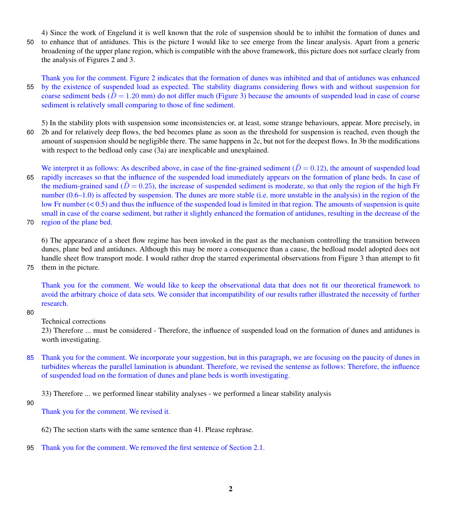4) Since the work of Engelund it is well known that the role of suspension should be to inhibit the formation of dunes and 50 to enhance that of antidunes. This is the picture I would like to see emerge from the linear analysis. Apart from a generic broadening of the upper plane region, which is compatible with the above framework, this picture does not surface clearly from the analysis of Figures 2 and 3.

Thank you for the comment. Figure 2 indicates that the formation of dunes was inhibited and that of antidunes was enhanced 55 by the existence of suspended load as expected. The stability diagrams considering flows with and without suspension for coarse sediment beds  $(D = 1.20$  mm) do not differ much (Figure 3) because the amounts of suspended load in case of coarse sediment is relatively small comparing to those of fine sediment.

5) In the stability plots with suspension some inconsistencies or, at least, some strange behaviours, appear. More precisely, in 60 2b and for relatively deep flows, the bed becomes plane as soon as the threshold for suspension is reached, even though the amount of suspension should be negligible there. The same happens in 2c, but not for the deepest flows. In 3b the modifications with respect to the bedload only case (3a) are inexplicable and unexplained.

We interpret it as follows: As described above, in case of the fine-grained sediment ( $\tilde{D} = 0.12$ ), the amount of suspended load 65 rapidly increases so that the influence of the suspended load immediately appears on the formation of plane beds. In case of the medium-grained sand ( $D = 0.25$ ), the increase of suspended sediment is moderate, so that only the region of the high Fr number (0.6–1.0) is affected by suspension. The dunes are more stable (i.e. more unstable in the analysis) in the region of the low Fr number (< 0.5) and thus the influence of the suspended load is limited in that region. The amounts of suspension is quite small in case of the coarse sediment, but rather it slightly enhanced the formation of antidunes, resulting in the decrease of the

70 region of the plane bed.

6) The appearance of a sheet flow regime has been invoked in the past as the mechanism controlling the transition between dunes, plane bed and antidunes. Although this may be more a consequence than a cause, the bedload model adopted does not handle sheet flow transport mode. I would rather drop the starred experimental observations from Figure 3 than attempt to fit 75 them in the picture.

Thank you for the comment. We would like to keep the observational data that does not fit our theoretical framework to avoid the arbitrary choice of data sets. We consider that incompatibility of our results rather illustrated the necessity of further research.

80

Technical corrections

23) Therefore ... must be considered - Therefore, the influence of suspended load on the formation of dunes and antidunes is worth investigating.

85 Thank you for the comment. We incorporate your suggestion, but in this paragraph, we are focusing on the paucity of dunes in turbidites whereas the parallel lamination is abundant. Therefore, we revised the sentense as follows: Therefore, the influence of suspended load on the formation of dunes and plane beds is worth investigating.

33) Therefore ... we performed linear stability analyses - we performed a linear stability analysis

90

Thank you for the comment. We revised it.

62) The section starts with the same sentence than 41. Please rephrase.

95 Thank you for the comment. We removed the first sentence of Section 2.1.